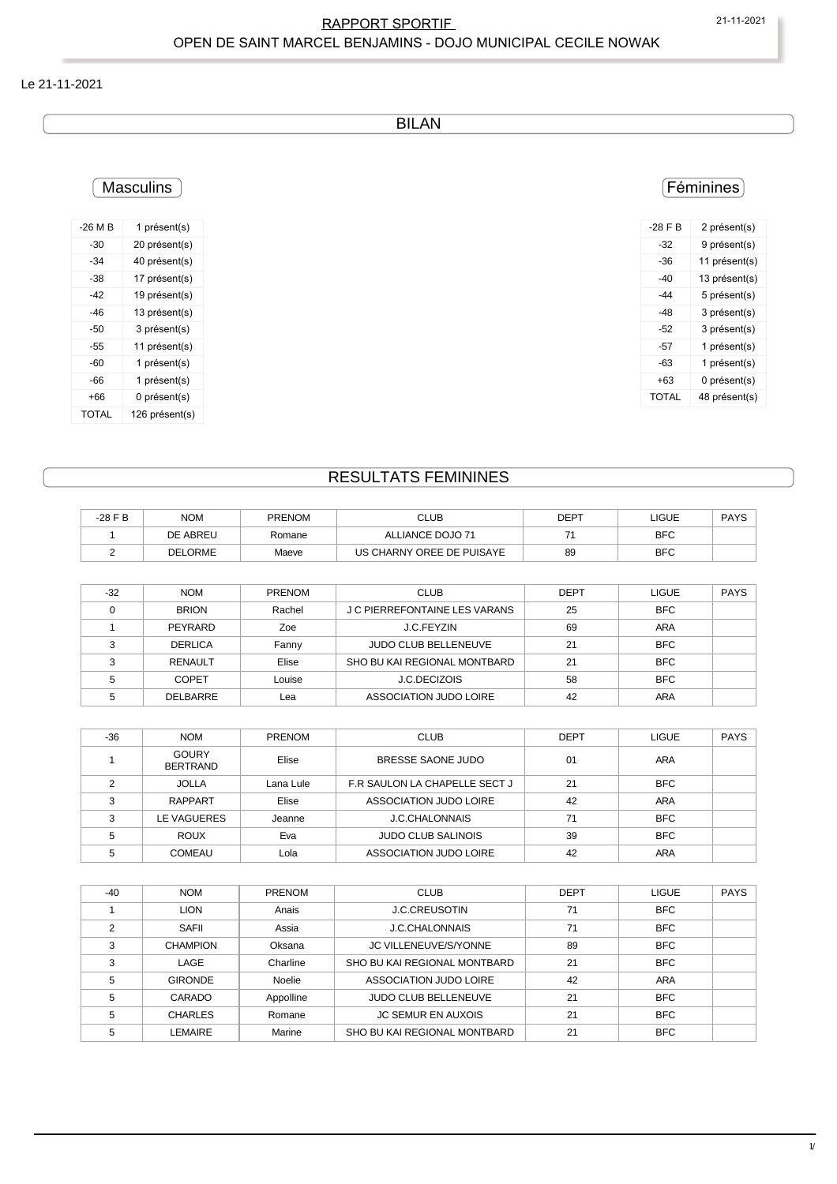### RAPPORT SPORTIF 21-11-2021 OPEN DE SAINT MARCEL BENJAMINS - DOJO MUNICIPAL CECILE NOWAK

#### Le 21-11-2021

BILAN

## **Masculins**

| -26 M B | 1 présent(s)   |
|---------|----------------|
| -30     | 20 présent(s)  |
| -34     | 40 présent(s)  |
| -38     | 17 présent(s)  |
| -42     | 19 présent(s)  |
| -46     | 13 présent(s)  |
| -50     | 3 présent(s)   |
| -55     | 11 présent(s)  |
| -60     | 1 présent(s)   |
| -66     | 1 présent(s)   |
| +66     | 0 présent(s)   |
| TOTAL   | 126 présent(s) |

## Féminines

| $-28$ F B | 2 présent(s)  |
|-----------|---------------|
| -32       | 9 présent(s)  |
| -36       | 11 présent(s) |
| -40       | 13 présent(s) |
| -44       | 5 présent(s)  |
| -48       | 3 présent(s)  |
| -52       | 3 présent(s)  |
| -57       | 1 présent(s)  |
| -63       | 1 présent(s)  |
| +63       | 0 présent(s)  |
| TOTAI     | 48 présent(s) |

## RESULTATS FEMININES

| -28 F B | <b>NOM</b>     | <b>PRENOM</b> | CLUB                      | DEPT | LIGUE      | <b>PAYS</b> |
|---------|----------------|---------------|---------------------------|------|------------|-------------|
|         | DE ABREU       | Romane        | ALLIANCE DOJO 71          |      | <b>BFC</b> |             |
|         | <b>DELORME</b> | Maeve         | US CHARNY OREE DE PUISAYE | 89   | <b>BFC</b> |             |

| $-32$ | <b>NOM</b>     | <b>PRENOM</b> | <b>CLUB</b>                   | <b>DEPT</b> | <b>LIGUE</b> | <b>PAYS</b> |
|-------|----------------|---------------|-------------------------------|-------------|--------------|-------------|
|       | <b>BRION</b>   | Rachel        | J C PIERREFONTAINE LES VARANS | 25          | <b>BFC</b>   |             |
|       | PEYRARD        | Zoe           | J.C.FEYZIN                    | 69          | <b>ARA</b>   |             |
|       | <b>DERLICA</b> | Fanny         | <b>JUDO CLUB BELLENEUVE</b>   | 21          | <b>BFC</b>   |             |
|       | RENAULT        | Elise         | SHO BU KAI REGIONAL MONTBARD  | 21          | <b>BFC</b>   |             |
|       | <b>COPET</b>   | Louise        | <b>J.C.DECIZOIS</b>           | 58          | <b>BFC</b>   |             |
|       | DELBARRE       | Lea           | ASSOCIATION JUDO LOIRE        | 42          | ARA          |             |

| $-36$  | <b>NOM</b>                      | <b>PRENOM</b> | <b>CLUB</b>                   | <b>DEPT</b> | <b>LIGUE</b> | <b>PAYS</b> |
|--------|---------------------------------|---------------|-------------------------------|-------------|--------------|-------------|
|        | <b>GOURY</b><br><b>BERTRAND</b> | Elise         | BRESSE SAONE JUDO             | 01          | <b>ARA</b>   |             |
|        | <b>JOLLA</b>                    | Lana Lule     | F.R SAULON LA CHAPELLE SECT J | 21          | <b>BFC</b>   |             |
| $\sim$ | RAPPART                         | Elise         | ASSOCIATION JUDO LOIRE        | 42          | ARA          |             |
| $\sim$ | LE VAGUERES                     | Jeanne        | J.C.CHALONNAIS                | 71          | <b>BFC</b>   |             |
|        | <b>ROUX</b>                     | Eva           | <b>JUDO CLUB SALINOIS</b>     | 39          | <b>BFC</b>   |             |
|        | <b>COMEAU</b>                   | Lola          | ASSOCIATION JUDO LOIRE        | 42          | ARA          |             |

| $-40$ | <b>NOM</b>      | <b>PRENOM</b> | <b>CLUB</b>                  | <b>DEPT</b> | <b>LIGUE</b> | <b>PAYS</b> |
|-------|-----------------|---------------|------------------------------|-------------|--------------|-------------|
|       | <b>LION</b>     | Anais         | <b>J.C.CREUSOTIN</b>         | 71          | <b>BFC</b>   |             |
| 2     | SAFII           | Assia         | <b>J.C.CHALONNAIS</b>        | 71          | <b>BFC</b>   |             |
| 3     | <b>CHAMPION</b> | Oksana        | <b>JC VILLENEUVE/S/YONNE</b> | 89          | <b>BFC</b>   |             |
| 3     | LAGE            | Charline      | SHO BU KAI REGIONAL MONTBARD | 21          | <b>BFC</b>   |             |
| 5     | <b>GIRONDE</b>  | Noelie        | ASSOCIATION JUDO LOIRE       | 42          | <b>ARA</b>   |             |
| 5     | CARADO          | Appolline     | JUDO CLUB BELLENEUVE         | 21          | <b>BFC</b>   |             |
| 5     | <b>CHARLES</b>  | Romane        | <b>JC SEMUR EN AUXOIS</b>    | 21          | <b>BFC</b>   |             |
| 5     | <b>LEMAIRE</b>  | Marine        | SHO BU KAI REGIONAL MONTBARD | 21          | <b>BFC</b>   |             |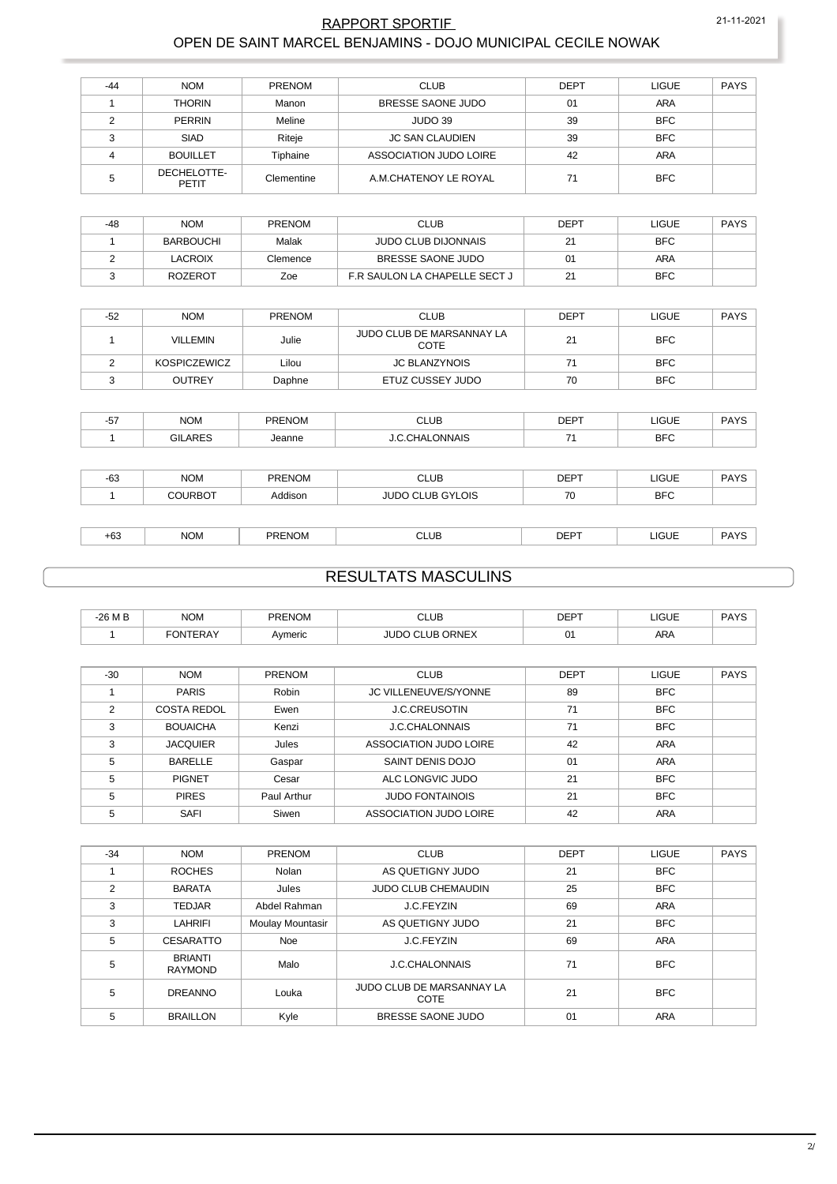### RAPPORT SPORTIF 21-11-2021 OPEN DE SAINT MARCEL BENJAMINS - DOJO MUNICIPAL CECILE NOWAK

| $-44$ | <b>NOM</b>           | <b>PRENOM</b> | <b>CLUB</b>            | <b>DEPT</b> | <b>LIGUE</b> | <b>PAYS</b> |
|-------|----------------------|---------------|------------------------|-------------|--------------|-------------|
|       | <b>THORIN</b>        | Manon         | BRESSE SAONE JUDO      | 01          | ARA          |             |
|       | PERRIN               | Meline        | JUDO 39                | 39          | <b>BFC</b>   |             |
| ົ     | <b>SIAD</b>          | Riteje        | <b>JC SAN CLAUDIEN</b> | 39          | <b>BFC</b>   |             |
|       | <b>BOUILLET</b>      | Tiphaine      | ASSOCIATION JUDO LOIRE | 42          | <b>ARA</b>   |             |
|       | DECHELOTTE-<br>PETIT | Clementine    | A.M.CHATENOY LE ROYAL  | 71          | <b>BFC</b>   |             |

| -48 | <b>NOM</b>       | <b>PRENOM</b> | <b>CLUB</b>                   | <b>DEPT</b> | LIGUE      | <b>PAYS</b> |
|-----|------------------|---------------|-------------------------------|-------------|------------|-------------|
|     | <b>BARBOUCHI</b> | Malak         | JUDO CLUB DIJONNAIS           | 21          | <b>BFC</b> |             |
|     | LACROIX          | Clemence      | BRESSE SAONE JUDO             |             | ARA        |             |
|     | ROZEROT          | Zoe           | F.R SAULON LA CHAPELLE SECT J |             | <b>BFC</b> |             |

| $-52$ | <b>NOM</b>      | <b>PRENOM</b> | CLUB                              | <b>DEPT</b> | LIGUE      | <b>PAYS</b> |
|-------|-----------------|---------------|-----------------------------------|-------------|------------|-------------|
|       | <b>VILLEMIN</b> | Julie         | JUDO CLUB DE MARSANNAY LA<br>COTE | 21          | <b>BFC</b> |             |
|       | KOSPICZEWICZ    | Lilou         | <b>JC BLANZYNOIS</b>              |             | <b>BFC</b> |             |
|       | <b>OUTREY</b>   | Daphne        | ETUZ CUSSEY JUDO                  | 70          | <b>BFC</b> |             |

| $-57$ | <b>NOM</b>     | <b>PRENOM</b> | <b>CLUB</b>             | <b>DEPT</b> | <b>LIGUE</b> | <b>PAYS</b> |
|-------|----------------|---------------|-------------------------|-------------|--------------|-------------|
|       | <b>GILARES</b> | Jeanne        | <b>J.C.CHALONNAIS</b>   | 71          | <b>BFC</b>   |             |
|       |                |               |                         |             |              |             |
| $-63$ | <b>NOM</b>     | <b>PRENOM</b> | <b>CLUB</b>             | <b>DEPT</b> | <b>LIGUE</b> | <b>PAYS</b> |
|       | <b>COURBOT</b> | Addison       | <b>JUDO CLUB GYLOIS</b> | 70          | <b>BFC</b>   |             |
|       |                |               |                         |             |              |             |
| $+63$ | <b>NOM</b>     | <b>PRENOM</b> | <b>CLUB</b>             | <b>DEPT</b> | <b>LIGUE</b> | <b>PAYS</b> |

# RESULTATS MASCULINS

| -26 M B | <b>NOM</b>             | <b>PRENOM</b> | $\sim$<br>CLUB             | <b>DEPT</b> | LIGUE      | <b>PAYS</b> |
|---------|------------------------|---------------|----------------------------|-------------|------------|-------------|
|         | <b>ITEDAV</b><br>. וחר | Avmeric       | <b>ORNEX</b><br>ı IR<br>ור | 01          | <b>ARA</b> |             |

| $-30$ | <b>NOM</b>         | <b>PRENOM</b> | <b>CLUB</b>            | <b>DEPT</b> | LIGUE      | <b>PAYS</b> |
|-------|--------------------|---------------|------------------------|-------------|------------|-------------|
|       | <b>PARIS</b>       | Robin         | JC VILLENEUVE/S/YONNE  | 89          | <b>BFC</b> |             |
| 2     | <b>COSTA REDOL</b> | Ewen          | <b>J.C.CREUSOTIN</b>   | 71          | <b>BFC</b> |             |
| 3     | <b>BOUAICHA</b>    | Kenzi         | <b>J.C.CHALONNAIS</b>  | 71          | <b>BFC</b> |             |
| 3     | <b>JACQUIER</b>    | Jules         | ASSOCIATION JUDO LOIRE | 42          | ARA        |             |
| 5     | <b>BARELLE</b>     | Gaspar        | SAINT DENIS DOJO       | 01          | ARA        |             |
| 5     | <b>PIGNET</b>      | Cesar         | ALC LONGVIC JUDO       | 21          | <b>BFC</b> |             |
| 5     | <b>PIRES</b>       | Paul Arthur   | <b>JUDO FONTAINOIS</b> | 21          | <b>BFC</b> |             |
| 5     | <b>SAFI</b>        | Siwen         | ASSOCIATION JUDO LOIRE | 42          | <b>ARA</b> |             |

| $-34$ | <b>NOM</b>                       | PRENOM           | <b>CLUB</b>                       | <b>DEPT</b> | <b>LIGUE</b> | <b>PAYS</b> |
|-------|----------------------------------|------------------|-----------------------------------|-------------|--------------|-------------|
|       | <b>ROCHES</b>                    | Nolan            | AS QUETIGNY JUDO                  | 21          | <b>BFC</b>   |             |
| 2     | <b>BARATA</b>                    | Jules            | <b>JUDO CLUB CHEMAUDIN</b>        | 25          | <b>BFC</b>   |             |
| 3     | <b>TEDJAR</b>                    | Abdel Rahman     | J.C.FEYZIN                        | 69          | <b>ARA</b>   |             |
| 3     | <b>LAHRIFI</b>                   | Moulay Mountasir | AS QUETIGNY JUDO                  | 21          | <b>BFC</b>   |             |
| 5     | CESARATTO                        | <b>Noe</b>       | J.C.FEYZIN                        | 69          | <b>ARA</b>   |             |
| 5     | <b>BRIANTI</b><br><b>RAYMOND</b> | Malo             | <b>J.C.CHALONNAIS</b>             | 71          | <b>BFC</b>   |             |
| 5     | <b>DREANNO</b>                   | Louka            | JUDO CLUB DE MARSANNAY LA<br>COTE | 21          | <b>BFC</b>   |             |
| 5     | <b>BRAILLON</b>                  | Kyle             | BRESSE SAONE JUDO                 | 01          | <b>ARA</b>   |             |